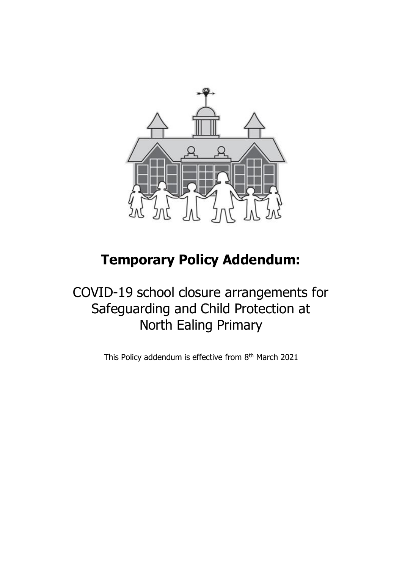

# **Temporary Policy Addendum:**

COVID-19 school closure arrangements for Safeguarding and Child Protection at North Ealing Primary

This Policy addendum is effective from 8<sup>th</sup> March 2021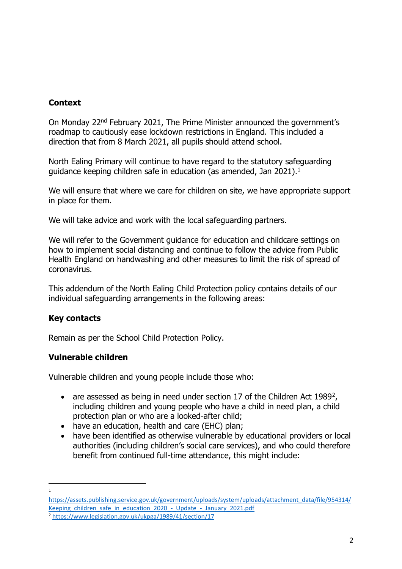## **Context**

On Monday 22nd February 2021, The Prime Minister announced the government's roadmap to cautiously ease lockdown restrictions in England. This included a direction that from 8 March 2021, all pupils should attend school.

North Ealing Primary will continue to have regard to the statutory safeguarding guidance keeping children safe in education (as amended, Jan 2021).<sup>1</sup>

We will ensure that where we care for children on site, we have appropriate support in place for them.

We will take advice and work with the local safeguarding partners.

We will refer to the Government guidance for education and childcare settings on how to implement social distancing and continue to follow the advice from Public Health England on handwashing and other measures to limit the risk of spread of coronavirus.

This addendum of the North Ealing Child Protection policy contains details of our individual safeguarding arrangements in the following areas:

## **Key contacts**

1

Remain as per the School Child Protection Policy.

## **Vulnerable children**

Vulnerable children and young people include those who:

- are assessed as being in need under section 17 of the Children Act 1989<sup>2</sup>, including children and young people who have a child in need plan, a child protection plan or who are a looked-after child;
- have an education, health and care (EHC) plan;
- have been identified as otherwise vulnerable by educational providers or local authorities (including children's social care services), and who could therefore benefit from continued full-time attendance, this might include:

[https://assets.publishing.service.gov.uk/government/uploads/system/uploads/attachment\\_data/file/954314/](https://assets.publishing.service.gov.uk/government/uploads/system/uploads/attachment_data/file/954314/Keeping_children_safe_in_education_2020_-_Update_-_January_2021.pdf) [Keeping\\_children\\_safe\\_in\\_education\\_2020\\_-\\_Update\\_-\\_January\\_2021.pdf](https://assets.publishing.service.gov.uk/government/uploads/system/uploads/attachment_data/file/954314/Keeping_children_safe_in_education_2020_-_Update_-_January_2021.pdf) <sup>2</sup> <https://www.legislation.gov.uk/ukpga/1989/41/section/17>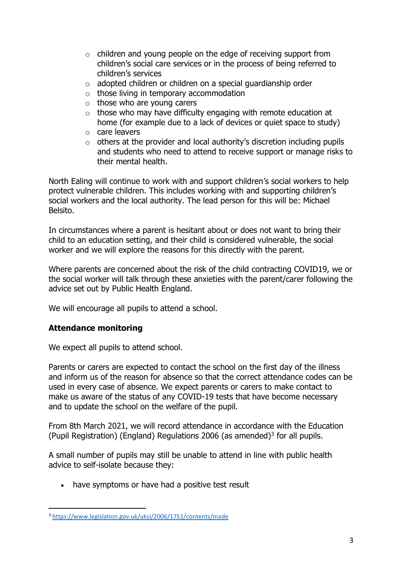- $\circ$  children and young people on the edge of receiving support from children's social care services or in the process of being referred to children's services
- $\circ$  adopted children or children on a special quardianship order
- $\circ$  those living in temporary accommodation
- $\circ$  those who are young carers
- $\circ$  those who may have difficulty engaging with remote education at home (for example due to a lack of devices or quiet space to study)
- o care leavers
- $\circ$  others at the provider and local authority's discretion including pupils and students who need to attend to receive support or manage risks to their mental health.

North Ealing will continue to work with and support children's social workers to help protect vulnerable children. This includes working with and supporting children's social workers and the local authority. The lead person for this will be: Michael Belsito.

In circumstances where a parent is hesitant about or does not want to bring their child to an education setting, and their child is considered vulnerable, the social worker and we will explore the reasons for this directly with the parent.

Where parents are concerned about the risk of the child contracting COVID19, we or the social worker will talk through these anxieties with the parent/carer following the advice set out by Public Health England.

We will encourage all pupils to attend a school.

# **Attendance monitoring**

We expect all pupils to attend school.

Parents or carers are expected to contact the school on the first day of the illness and inform us of the reason for absence so that the correct attendance codes can be used in every case of absence. We expect parents or carers to make contact to make us aware of the status of any COVID-19 tests that have become necessary and to update the school on the welfare of the pupil.

From 8th March 2021, we will record attendance in accordance with the Education (Pupil Registration) (England) Regulations 2006 (as amended)<sup>3</sup> for all pupils.

A small number of pupils may still be unable to attend in line with public health advice to self-isolate because they:

• have symptoms or have had a positive test result

<sup>3</sup> <https://www.legislation.gov.uk/uksi/2006/1751/contents/made>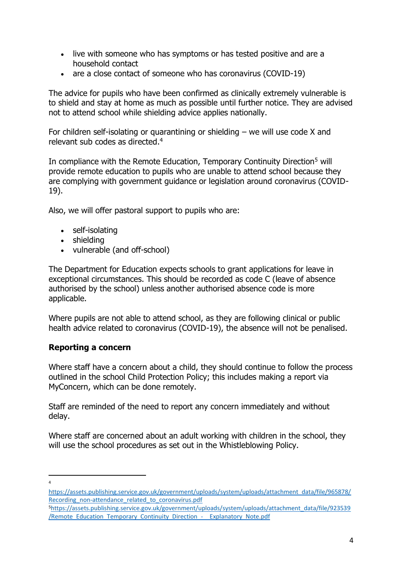- live with someone who has symptoms or has tested positive and are a household contact
- are a close contact of someone who has coronavirus (COVID-19)

The advice for pupils who have been confirmed as clinically extremely vulnerable is to shield and stay at home as much as possible until further notice. They are advised not to attend school while shielding advice applies nationally.

For children self-isolating or quarantining or shielding – we will use code X and relevant sub codes as directed. 4

In compliance with the Remote Education, Temporary Continuity Direction<sup>5</sup> will provide remote education to pupils who are unable to attend school because they are complying with government guidance or legislation around coronavirus (COVID-19).

Also, we will offer pastoral support to pupils who are:

- self-isolating
- shielding
- vulnerable (and off-school)

The Department for Education expects schools to grant applications for leave in exceptional circumstances. This should be recorded as code C (leave of absence authorised by the school) unless another authorised absence code is more applicable.

Where pupils are not able to attend school, as they are following clinical or public health advice related to coronavirus (COVID-19), the absence will not be penalised.

# **Reporting a concern**

Where staff have a concern about a child, they should continue to follow the process outlined in the school Child Protection Policy; this includes making a report via MyConcern, which can be done remotely.

Staff are reminded of the need to report any concern immediately and without delay.

Where staff are concerned about an adult working with children in the school, they will use the school procedures as set out in the Whistleblowing Policy.

4

[https://assets.publishing.service.gov.uk/government/uploads/system/uploads/attachment\\_data/file/965878/](https://assets.publishing.service.gov.uk/government/uploads/system/uploads/attachment_data/file/965878/Recording_non-attendance_related_to_coronavirus.pdf) [Recording\\_non-attendance\\_related\\_to\\_coronavirus.pdf](https://assets.publishing.service.gov.uk/government/uploads/system/uploads/attachment_data/file/965878/Recording_non-attendance_related_to_coronavirus.pdf)

<sup>5</sup>[https://assets.publishing.service.gov.uk/government/uploads/system/uploads/attachment\\_data/file/923539](https://assets.publishing.service.gov.uk/government/uploads/system/uploads/attachment_data/file/923539/Remote_Education_Temporary_Continuity_Direction_-__Explanatory_Note.pdf) [/Remote\\_Education\\_Temporary\\_Continuity\\_Direction\\_-\\_\\_Explanatory\\_Note.pdf](https://assets.publishing.service.gov.uk/government/uploads/system/uploads/attachment_data/file/923539/Remote_Education_Temporary_Continuity_Direction_-__Explanatory_Note.pdf)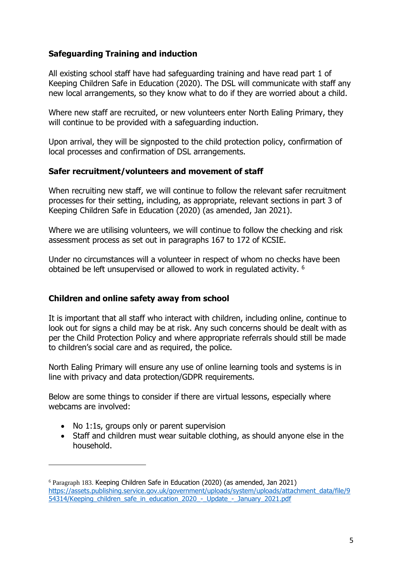# **Safeguarding Training and induction**

All existing school staff have had safeguarding training and have read part 1 of Keeping Children Safe in Education (2020). The DSL will communicate with staff any new local arrangements, so they know what to do if they are worried about a child.

Where new staff are recruited, or new volunteers enter North Ealing Primary, they will continue to be provided with a safeguarding induction.

Upon arrival, they will be signposted to the child protection policy, confirmation of local processes and confirmation of DSL arrangements.

#### **Safer recruitment/volunteers and movement of staff**

When recruiting new staff, we will continue to follow the relevant safer recruitment processes for their setting, including, as appropriate, relevant sections in part 3 of Keeping Children Safe in Education (2020) (as amended, Jan 2021).

Where we are utilising volunteers, we will continue to follow the checking and risk assessment process as set out in paragraphs 167 to 172 of KCSIE.

Under no circumstances will a volunteer in respect of whom no checks have been obtained be left unsupervised or allowed to work in regulated activity. <sup>6</sup>

# **Children and online safety away from school**

It is important that all staff who interact with children, including online, continue to look out for signs a child may be at risk. Any such concerns should be dealt with as per the Child Protection Policy and where appropriate referrals should still be made to children's social care and as required, the police.

North Ealing Primary will ensure any use of online learning tools and systems is in line with privacy and data protection/GDPR requirements.

Below are some things to consider if there are virtual lessons, especially where webcams are involved:

- No 1:1s, groups only or parent supervision
- Staff and children must wear suitable clothing, as should anyone else in the household.

<sup>6</sup> Paragraph 183. Keeping Children Safe in Education (2020) (as amended, Jan 2021) [https://assets.publishing.service.gov.uk/government/uploads/system/uploads/attachment\\_data/file/9](https://assets.publishing.service.gov.uk/government/uploads/system/uploads/attachment_data/file/954314/Keeping_children_safe_in_education_2020_-_Update_-_January_2021.pdf) 54314/Keeping children safe in education 2020 - Update - January 2021.pdf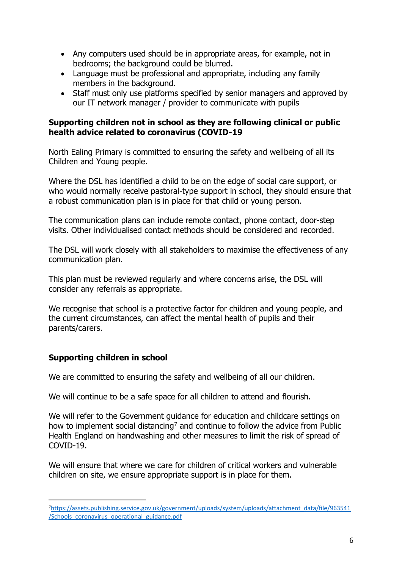- Any computers used should be in appropriate areas, for example, not in bedrooms; the background could be blurred.
- Language must be professional and appropriate, including any family members in the background.
- Staff must only use platforms specified by senior managers and approved by our IT network manager / provider to communicate with pupils

## **Supporting children not in school as they are following clinical or public health advice related to coronavirus (COVID-19**

North Ealing Primary is committed to ensuring the safety and wellbeing of all its Children and Young people.

Where the DSL has identified a child to be on the edge of social care support, or who would normally receive pastoral-type support in school, they should ensure that a robust communication plan is in place for that child or young person.

The communication plans can include remote contact, phone contact, door-step visits. Other individualised contact methods should be considered and recorded.

The DSL will work closely with all stakeholders to maximise the effectiveness of any communication plan.

This plan must be reviewed regularly and where concerns arise, the DSL will consider any referrals as appropriate.

We recognise that school is a protective factor for children and young people, and the current circumstances, can affect the mental health of pupils and their parents/carers.

# **Supporting children in school**

We are committed to ensuring the safety and wellbeing of all our children.

We will continue to be a safe space for all children to attend and flourish.

We will refer to the Government guidance for education and childcare settings on how to implement social distancing<sup>7</sup> and continue to follow the advice from Public Health England on handwashing and other measures to limit the risk of spread of COVID-19.

We will ensure that where we care for children of critical workers and vulnerable children on site, we ensure appropriate support is in place for them.

<sup>7</sup>[https://assets.publishing.service.gov.uk/government/uploads/system/uploads/attachment\\_data/file/963541](https://assets.publishing.service.gov.uk/government/uploads/system/uploads/attachment_data/file/963541/Schools_coronavirus_operational_guidance.pdf) [/Schools\\_coronavirus\\_operational\\_guidance.pdf](https://assets.publishing.service.gov.uk/government/uploads/system/uploads/attachment_data/file/963541/Schools_coronavirus_operational_guidance.pdf)